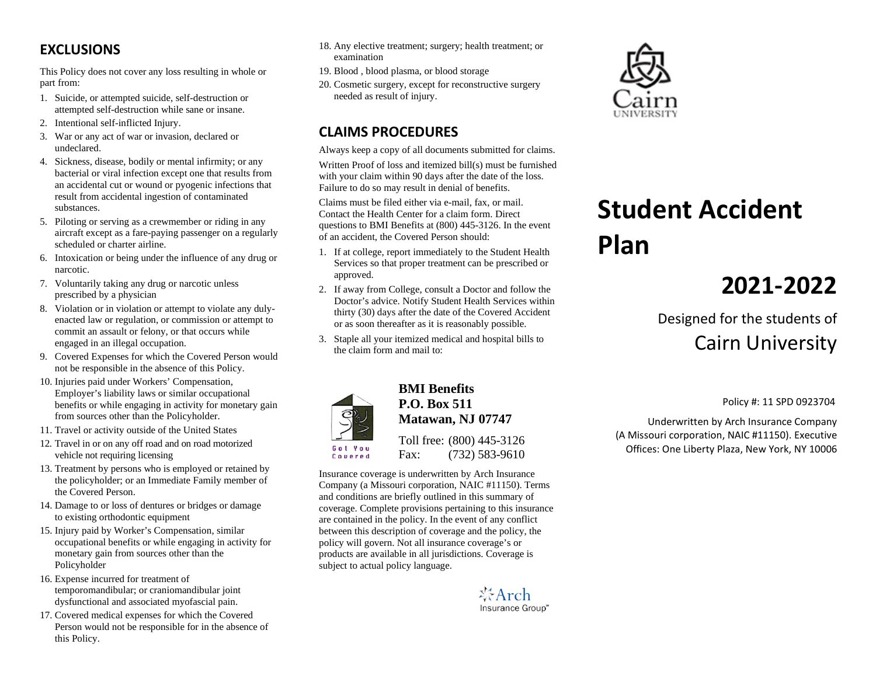### **EXCLUSIONS**

This Policy does not cover any loss resulting in whole or part from:

- 1. Suicide, or attempted suicide, self-destruction or attempted self-destruction while sane or insane.
- 2. Intentional self-inflicted Injury.
- 3. War or any act of war or invasion, declared or undeclared.
- 4. Sickness, disease, bodily or mental infirmity; or any bacterial or viral infection except one that results from an accidental cut or wound or pyogenic infections that result from accidental ingestion of contaminated substances.
- 5. Piloting or serving as a crewmember or riding in any aircraft except as a fare-paying passenger on a regularly scheduled or charter airline.
- 6. Intoxication or being under the influence of any drug or narcotic.
- 7. Voluntarily taking any drug or narcotic unless prescribed by a physician
- 8. Violation or in violation or attempt to violate any dulyenacted law or regulation, or commission or attempt to commit an assault or felony, or that occurs while engaged in an illegal occupation.
- 9. Covered Expenses for which the Covered Person would not be responsible in the absence of this Policy.
- 10. Injuries paid under Workers' Compensation, Employer's liability laws or similar occupational benefits or while engaging in activity for monetary gain from sources other than the Policyholder.
- 11. Travel or activity outside of the United States
- 12. Travel in or on any off road and on road motorized vehicle not requiring licensing
- 13. Treatment by persons who is employed or retained by the policyholder; or an Immediate Family member of the Covered Person.
- 14. Damage to or loss of dentures or bridges or damage to existing orthodontic equipment
- 15. Injury paid by Worker's Compensation, similar occupational benefits or while engaging in activity for monetary gain from sources other than the Policyholder
- 16. Expense incurred for treatment of temporomandibular; or craniomandibular joint dysfunctional and associated myofascial pain.
- 17. Covered medical expenses for which the Covered Person would not be responsible for in the absence of this Policy.
- 18. Any elective treatment; surgery; health treatment; or examination
- 19. Blood , blood plasma, or blood storage
- 20. Cosmetic surgery, except for reconstructive surgery needed as result of injury.

## **CLAIMS PROCEDURES**

Always keep a copy of all documents submitted for claims.

Written Proof of loss and itemized bill(s) must be furnished with your claim within 90 days after the date of the loss. Failure to do so may result in denial of benefits.

Claims must be filed either via e-mail, fax, or mail. Contact the Health Center for a claim form. Direct questions to BMI Benefits at (800) 445-3126. In the event of an accident, the Covered Person should:

- 1. If at college, report immediately to the Student Health Services so that proper treatment can be prescribed or approved.
- 2. If away from College, consult a Doctor and follow the Doctor's advice. Notify Student Health Services within thirty (30) days after the date of the Covered Accident or as soon thereafter as it is reasonably possible.
- 3. Staple all your itemized medical and hospital bills to the claim form and mail to:



### **BMI Benefits P.O. Box 511 Matawan, NJ 07747**



Toll free: (800) 445-3126 Fax: (732) 583-9610

Insurance coverage is underwritten by Arch Insurance Company (a Missouri corporation, NAIC #11150). Terms and conditions are briefly outlined in this summary of coverage. Complete provisions pertaining to this insurance are contained in the policy. In the event of any conflict between this description of coverage and the policy, the policy will govern. Not all insurance coverage's or products are available in all jurisdictions. Coverage is subject to actual policy language.





# **Student Accident Plan**

## **2021-2022**

## Designed for the students of Cairn University

Policy #: 11 SPD 0923704

Underwritten by Arch Insurance Company (A Missouri corporation, NAIC #11150). Executive Offices: One Liberty Plaza, New York, NY 10006